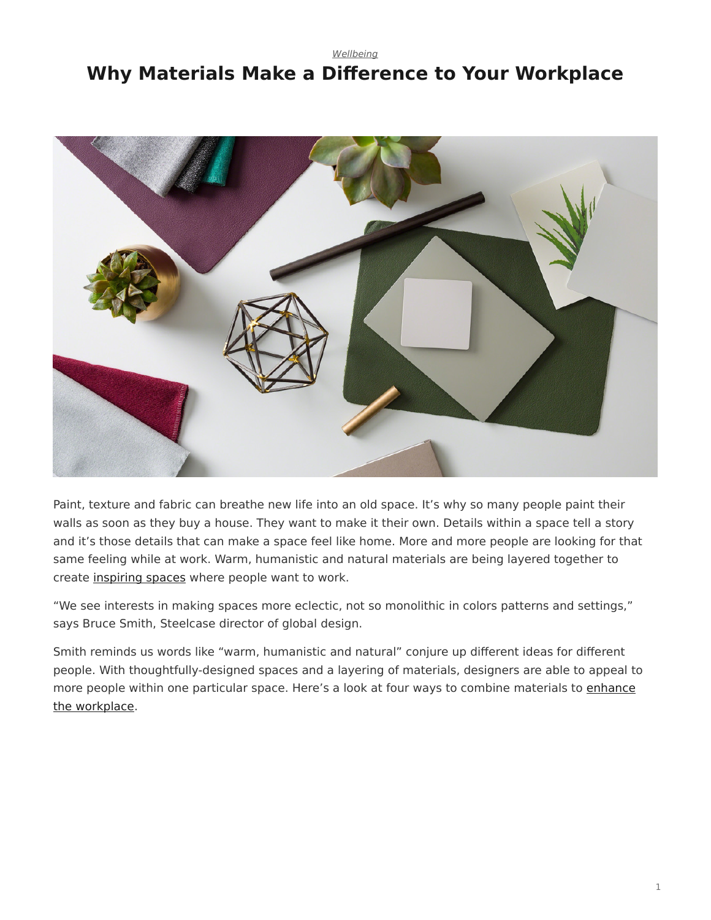# <span id="page-0-0"></span>*[Wellbeing](https://www.steelcase.com/research/topics/wellbeing/)* **Why Materials Make a Difference to Your Workplace**



Paint, texture and fabric can breathe new life into an old space. It's why so many people paint their walls as soon as they buy a house. They want to make it their own. Details within a space tell a story and it's those details that can make a space feel like home. More and more people are looking for that same feeling while at work. Warm, humanistic and natural materials are being layered together to create [inspiring spaces](https://www.steelcase.com/spaces-inspiration/inspiring-office-workspaces/) where people want to work.

"We see interests in making spaces more eclectic, not so monolithic in colors patterns and settings," says Bruce Smith, Steelcase director of global design.

Smith reminds us words like "warm, humanistic and natural" conjure up different ideas for different people. With thoughtfully-designed spaces and a layering of materials, designers are able to appeal to more people within one particular space. Here's a look at four ways to combine materials to [enhance](https://www.steelcase.com/blog/6-workplace-updates-for-the-office-renaissance/) [the workplace.](https://www.steelcase.com/blog/6-workplace-updates-for-the-office-renaissance/)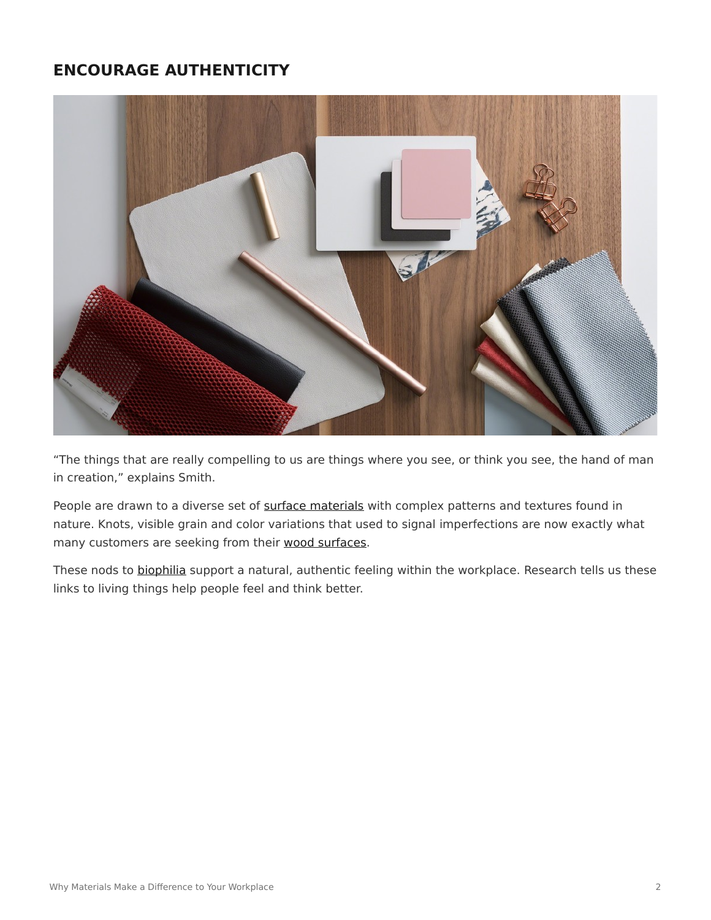# **ENCOURAGE AUTHENTICITY**



"The things that are really compelling to us are things where you see, or think you see, the hand of man in creation," explains Smith.

People are drawn to a diverse set of [surface materials](https://www.steelcase.com/resources/surface-materials/) with complex patterns and textures found in nature. Knots, visible grain and color variations that used to signal imperfections are now exactly what many customers are seeking from their [wood surfaces.](https://www.steelcase.com/resources/documents/planked-veneer-application/)

These nods to [biophilia](https://www.steelcase.com/blog/designtex-president-four-materials-trends-in-2017/) support a natural, authentic feeling within the workplace. Research tells us these links to living things help people feel and think better.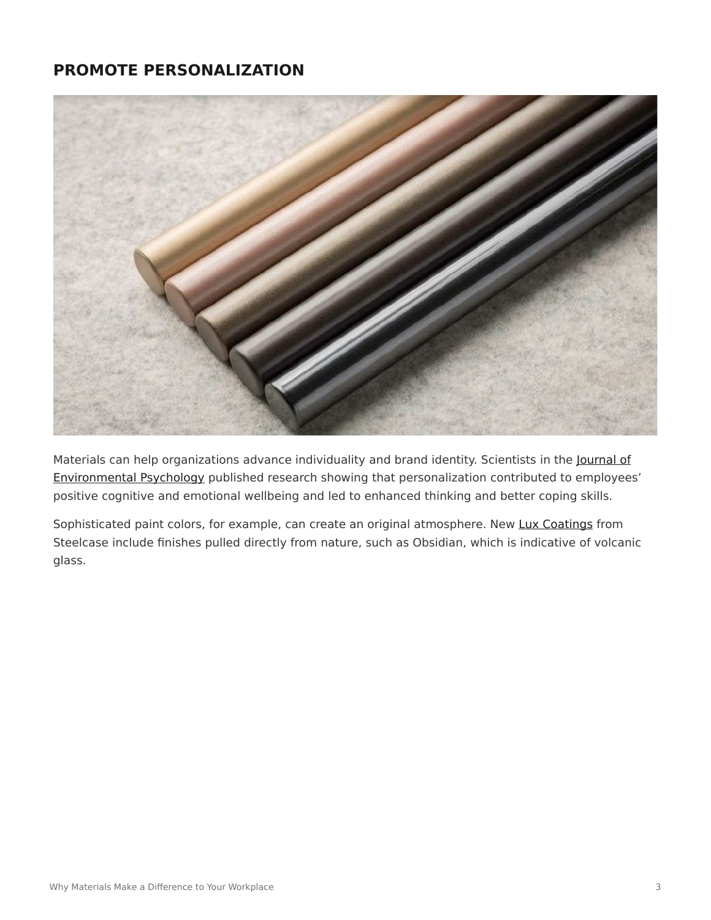# **PROMOTE PERSONALIZATION**



Materials can help organizations advance individuality and brand identity. Scientists in the [Journal of](http://www.psychologicalscience.org/news/minds-business/being-able-to-personalize-your-workspace-may-have-psychological-benefits.html#.WJ9u728rJhE) [Environmental Psychology](http://www.psychologicalscience.org/news/minds-business/being-able-to-personalize-your-workspace-may-have-psychological-benefits.html#.WJ9u728rJhE) published research showing that personalization contributed to employees' positive cognitive and emotional wellbeing and led to enhanced thinking and better coping skills.

Sophisticated paint colors, for example, can create an original atmosphere. New [Lux Coatings](https://www.steelcase.com/resources/surface-materials/) from Steelcase include finishes pulled directly from nature, such as Obsidian, which is indicative of volcanic glass.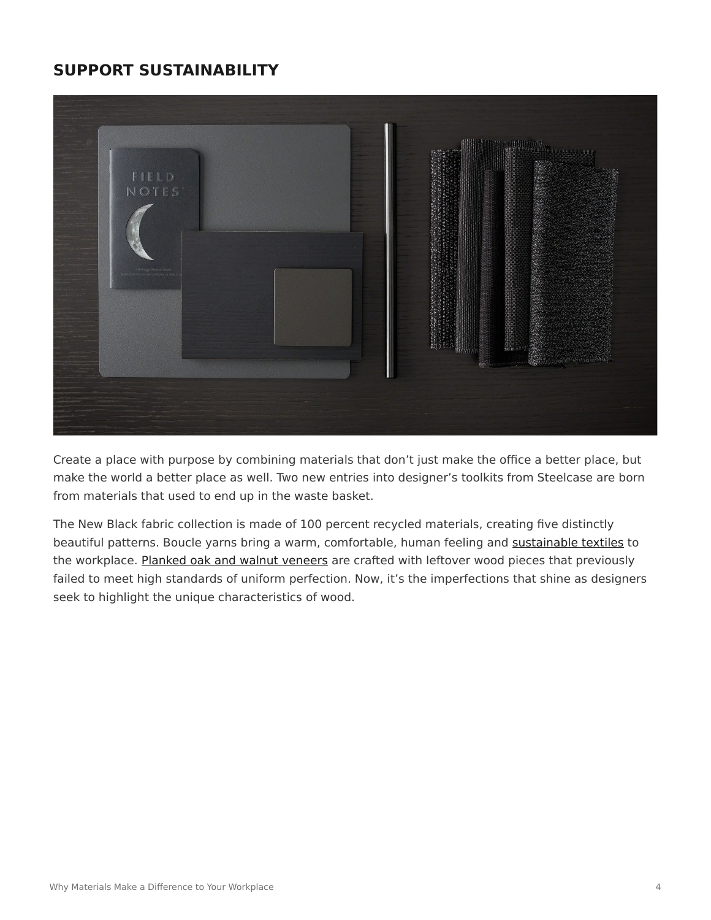# **SUPPORT SUSTAINABILITY**



Create a place with purpose by combining materials that don't just make the office a better place, but make the world a better place as well. Two new entries into designer's toolkits from Steelcase are born from materials that used to end up in the waste basket.

The New Black fabric collection is made of 100 percent recycled materials, creating five distinctly beautiful patterns. Boucle yarns bring a warm, comfortable, human feeling and [sustainable textiles](https://www.steelcase.com/discover/steelcase/sustainability/) to the workplace. [Planked oak and walnut veneers](https://www.steelcase.com/resources/documents/planked-veneer-application/) are crafted with leftover wood pieces that previously failed to meet high standards of uniform perfection. Now, it's the imperfections that shine as designers seek to highlight the unique characteristics of wood.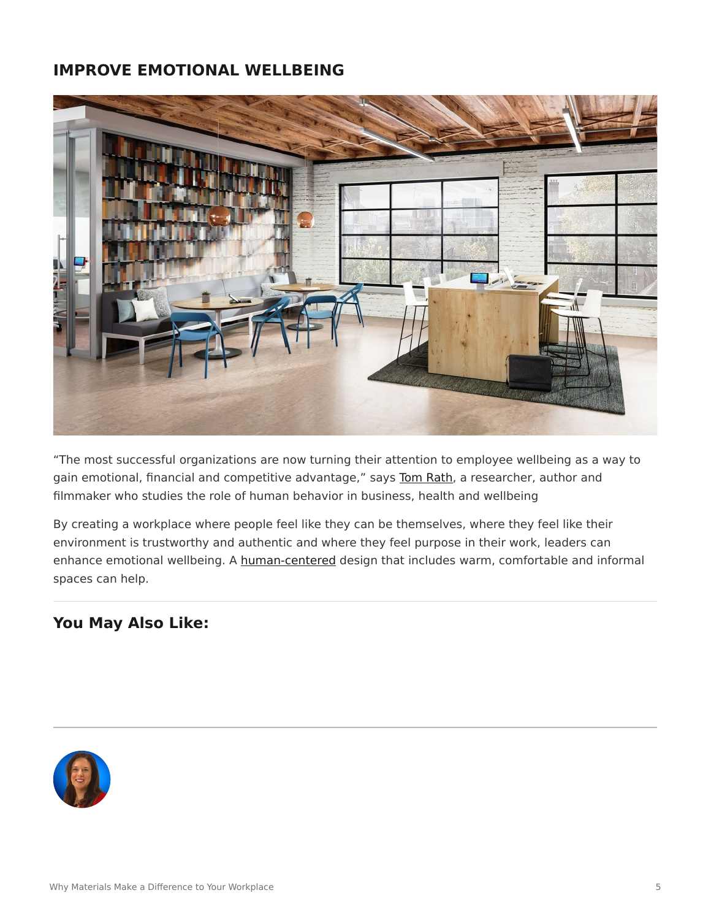#### **IMPROVE EMOTIONAL WELLBEING**



"The most successful organizations are now turning their attention to employee wellbeing as a way to gain emotional, financial and competitive advantage," says [Tom Rath](https://www.steelcase.com/insights/articles/wellbeing-a-bottom-line-issue/), a researcher, author and filmmaker who studies the role of human behavior in business, health and wellbeing

By creating a workplace where people feel like they can be themselves, where they feel like their environment is trustworthy and authentic and where they feel purpose in their work, leaders can enhance emotional wellbeing. A [human-centered](https://www.steelcase.com/blog/inspiring-spaces-reinvigorate-the-office/) design that includes warm, comfortable and informal spaces can help.

# **You May Also Like:**